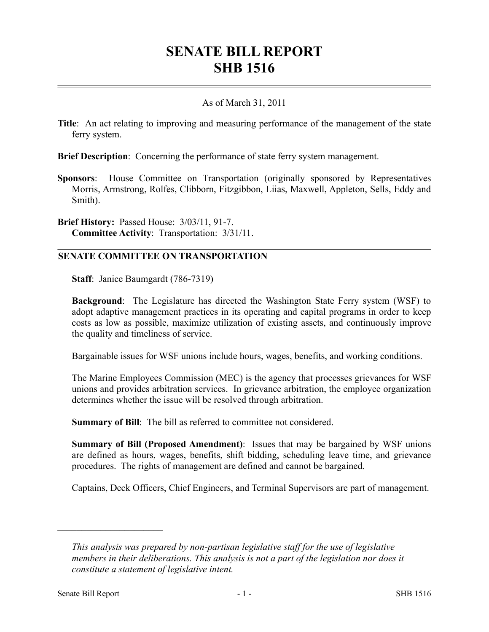## **SENATE BILL REPORT SHB 1516**

## As of March 31, 2011

**Title**: An act relating to improving and measuring performance of the management of the state ferry system.

**Brief Description**: Concerning the performance of state ferry system management.

**Sponsors**: House Committee on Transportation (originally sponsored by Representatives Morris, Armstrong, Rolfes, Clibborn, Fitzgibbon, Liias, Maxwell, Appleton, Sells, Eddy and Smith).

**Brief History:** Passed House: 3/03/11, 91-7. **Committee Activity**: Transportation: 3/31/11.

## **SENATE COMMITTEE ON TRANSPORTATION**

**Staff**: Janice Baumgardt (786-7319)

**Background**: The Legislature has directed the Washington State Ferry system (WSF) to adopt adaptive management practices in its operating and capital programs in order to keep costs as low as possible, maximize utilization of existing assets, and continuously improve the quality and timeliness of service.

Bargainable issues for WSF unions include hours, wages, benefits, and working conditions.

The Marine Employees Commission (MEC) is the agency that processes grievances for WSF unions and provides arbitration services. In grievance arbitration, the employee organization determines whether the issue will be resolved through arbitration.

**Summary of Bill**: The bill as referred to committee not considered.

**Summary of Bill (Proposed Amendment)**: Issues that may be bargained by WSF unions are defined as hours, wages, benefits, shift bidding, scheduling leave time, and grievance procedures. The rights of management are defined and cannot be bargained.

Captains, Deck Officers, Chief Engineers, and Terminal Supervisors are part of management.

––––––––––––––––––––––

*This analysis was prepared by non-partisan legislative staff for the use of legislative members in their deliberations. This analysis is not a part of the legislation nor does it constitute a statement of legislative intent.*